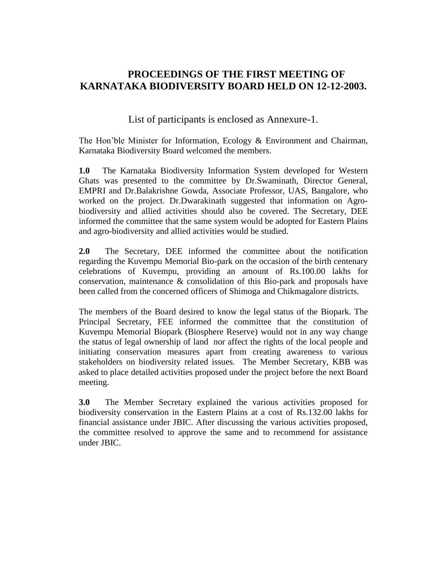## **PROCEEDINGS OF THE FIRST MEETING OF KARNATAKA BIODIVERSITY BOARD HELD ON 12-12-2003.**

List of participants is enclosed as Annexure-1.

The Hon'ble Minister for Information, Ecology & Environment and Chairman, Karnataka Biodiversity Board welcomed the members.

**1.0** The Karnataka Biodiversity Information System developed for Western Ghats was presented to the committee by Dr.Swaminath, Director General, EMPRI and Dr.Balakrishne Gowda, Associate Professor, UAS, Bangalore, who worked on the project. Dr.Dwarakinath suggested that information on Agrobiodiversity and allied activities should also be covered. The Secretary, DEE informed the committee that the same system would be adopted for Eastern Plains and agro-biodiversity and allied activities would be studied.

**2.0** The Secretary, DEE informed the committee about the notification regarding the Kuvempu Memorial Bio-park on the occasion of the birth centenary celebrations of Kuvempu, providing an amount of Rs.100.00 lakhs for conservation, maintenance & consolidation of this Bio-park and proposals have been called from the concerned officers of Shimoga and Chikmagalore districts.

The members of the Board desired to know the legal status of the Biopark. The Principal Secretary, FEE informed the committee that the constitution of Kuvempu Memorial Biopark (Biosphere Reserve) would not in any way change the status of legal ownership of land nor affect the rights of the local people and initiating conservation measures apart from creating awareness to various stakeholders on biodiversity related issues. The Member Secretary, KBB was asked to place detailed activities proposed under the project before the next Board meeting.

**3.0** The Member Secretary explained the various activities proposed for biodiversity conservation in the Eastern Plains at a cost of Rs.132.00 lakhs for financial assistance under JBIC. After discussing the various activities proposed, the committee resolved to approve the same and to recommend for assistance under JBIC.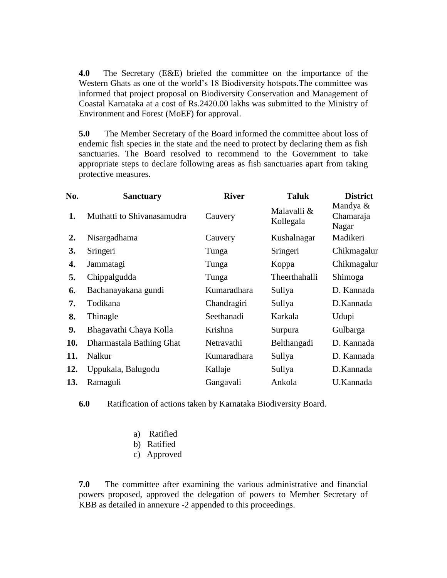**4.0** The Secretary (E&E) briefed the committee on the importance of the Western Ghats as one of the world's 18 Biodiversity hotspots.The committee was informed that project proposal on Biodiversity Conservation and Management of Coastal Karnataka at a cost of Rs.2420.00 lakhs was submitted to the Ministry of Environment and Forest (MoEF) for approval.

**5.0** The Member Secretary of the Board informed the committee about loss of endemic fish species in the state and the need to protect by declaring them as fish sanctuaries. The Board resolved to recommend to the Government to take appropriate steps to declare following areas as fish sanctuaries apart from taking protective measures.

| No. | <b>Sanctuary</b>           | <b>River</b> | <b>Taluk</b>             | <b>District</b>                |
|-----|----------------------------|--------------|--------------------------|--------------------------------|
| 1.  | Muthatti to Shivanasamudra | Cauvery      | Malavalli &<br>Kollegala | Mandya &<br>Chamaraja<br>Nagar |
| 2.  | Nisargadhama               | Cauvery      | Kushalnagar              | Madikeri                       |
| 3.  | Sringeri                   | Tunga        | Sringeri                 | Chikmagalur                    |
| 4.  | Jammatagi                  | Tunga        | Koppa                    | Chikmagalur                    |
| 5.  | Chippalgudda               | Tunga        | Theerthahalli            | Shimoga                        |
| 6.  | Bachanayakana gundi        | Kumaradhara  | Sullya                   | D. Kannada                     |
| 7.  | Todikana                   | Chandragiri  | Sullya                   | D.Kannada                      |
| 8.  | Thinagle                   | Seethanadi   | Karkala                  | Udupi                          |
| 9.  | Bhagavathi Chaya Kolla     | Krishna      | Surpura                  | Gulbarga                       |
| 10. | Dharmastala Bathing Ghat   | Netravathi   | Belthangadi              | D. Kannada                     |
| 11. | Nalkur                     | Kumaradhara  | Sullya                   | D. Kannada                     |
| 12. | Uppukala, Balugodu         | Kallaje      | Sullya                   | D.Kannada                      |
| 13. | Ramaguli                   | Gangavali    | Ankola                   | U.Kannada                      |

**6.0** Ratification of actions taken by Karnataka Biodiversity Board.

- a) Ratified
- b) Ratified
- c) Approved

**7.0** The committee after examining the various administrative and financial powers proposed, approved the delegation of powers to Member Secretary of KBB as detailed in annexure -2 appended to this proceedings.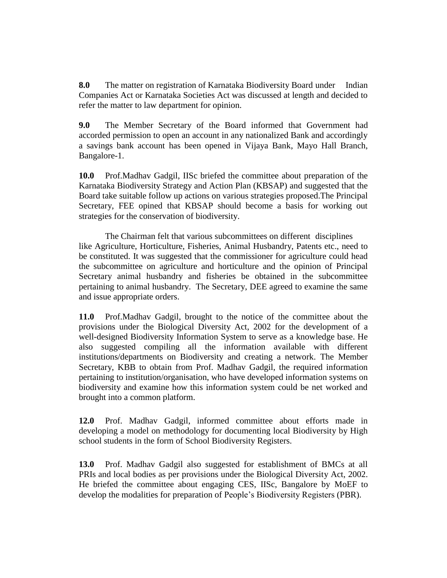**8.0** The matter on registration of Karnataka Biodiversity Board under Indian Companies Act or Karnataka Societies Act was discussed at length and decided to refer the matter to law department for opinion.

**9.0** The Member Secretary of the Board informed that Government had accorded permission to open an account in any nationalized Bank and accordingly a savings bank account has been opened in Vijaya Bank, Mayo Hall Branch, Bangalore-1.

**10.0** Prof.Madhav Gadgil, IISc briefed the committee about preparation of the Karnataka Biodiversity Strategy and Action Plan (KBSAP) and suggested that the Board take suitable follow up actions on various strategies proposed.The Principal Secretary, FEE opined that KBSAP should become a basis for working out strategies for the conservation of biodiversity.

The Chairman felt that various subcommittees on different disciplines like Agriculture, Horticulture, Fisheries, Animal Husbandry, Patents etc., need to be constituted. It was suggested that the commissioner for agriculture could head the subcommittee on agriculture and horticulture and the opinion of Principal Secretary animal husbandry and fisheries be obtained in the subcommittee pertaining to animal husbandry. The Secretary, DEE agreed to examine the same and issue appropriate orders.

**11.0** Prof.Madhav Gadgil, brought to the notice of the committee about the provisions under the Biological Diversity Act, 2002 for the development of a well-designed Biodiversity Information System to serve as a knowledge base. He also suggested compiling all the information available with different institutions/departments on Biodiversity and creating a network. The Member Secretary, KBB to obtain from Prof. Madhav Gadgil, the required information pertaining to institution/organisation, who have developed information systems on biodiversity and examine how this information system could be net worked and brought into a common platform.

**12.0** Prof. Madhav Gadgil, informed committee about efforts made in developing a model on methodology for documenting local Biodiversity by High school students in the form of School Biodiversity Registers.

**13.0** Prof. Madhav Gadgil also suggested for establishment of BMCs at all PRIs and local bodies as per provisions under the Biological Diversity Act, 2002. He briefed the committee about engaging CES, IISc, Bangalore by MoEF to develop the modalities for preparation of People's Biodiversity Registers (PBR).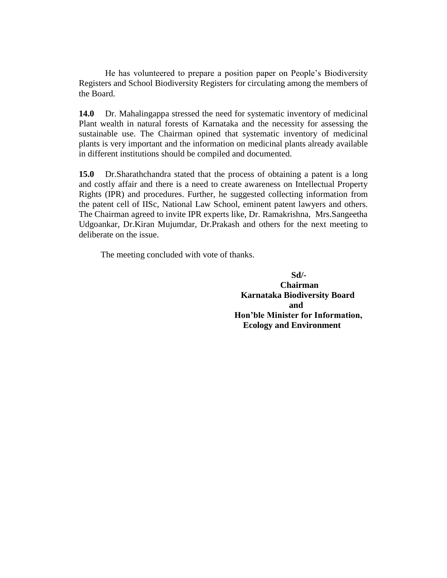He has volunteered to prepare a position paper on People's Biodiversity Registers and School Biodiversity Registers for circulating among the members of the Board.

**14.0** Dr. Mahalingappa stressed the need for systematic inventory of medicinal Plant wealth in natural forests of Karnataka and the necessity for assessing the sustainable use. The Chairman opined that systematic inventory of medicinal plants is very important and the information on medicinal plants already available in different institutions should be compiled and documented.

**15.0** Dr.Sharathchandra stated that the process of obtaining a patent is a long and costly affair and there is a need to create awareness on Intellectual Property Rights (IPR) and procedures. Further, he suggested collecting information from the patent cell of IISc, National Law School, eminent patent lawyers and others. The Chairman agreed to invite IPR experts like, Dr. Ramakrishna, Mrs.Sangeetha Udgoankar, Dr.Kiran Mujumdar, Dr.Prakash and others for the next meeting to deliberate on the issue.

The meeting concluded with vote of thanks.

 **Sd/- Chairman Karnataka Biodiversity Board and and and** *and*  **Hon'ble Minister for Information, Ecology and Environment**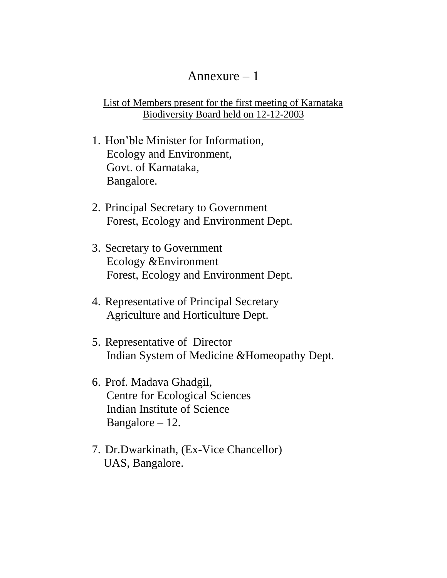## Annexure  $-1$

List of Members present for the first meeting of Karnataka Biodiversity Board held on 12-12-2003

- 1. Hon'ble Minister for Information, Ecology and Environment, Govt. of Karnataka, Bangalore.
- 2. Principal Secretary to Government Forest, Ecology and Environment Dept.
- 3. Secretary to Government Ecology &Environment Forest, Ecology and Environment Dept.
- 4. Representative of Principal Secretary Agriculture and Horticulture Dept.
- 5. Representative of Director Indian System of Medicine &Homeopathy Dept.
- 6. Prof. Madava Ghadgil, Centre for Ecological Sciences Indian Institute of Science Bangalore  $-12$ .
- 7. Dr.Dwarkinath, (Ex-Vice Chancellor) UAS, Bangalore.